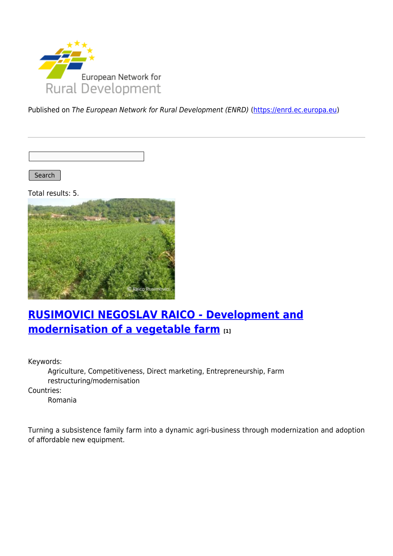

Published on The European Network for Rural Development (ENRD) [\(https://enrd.ec.europa.eu](https://enrd.ec.europa.eu))

Search |

Total results: 5.



# **[RUSIMOVICI NEGOSLAV RAICO - Development and](https://enrd.ec.europa.eu/projects-practice/rusimovici-negoslav-raico-development-and-modernisation-vegetable-farm_en) [modernisation of a vegetable farm](https://enrd.ec.europa.eu/projects-practice/rusimovici-negoslav-raico-development-and-modernisation-vegetable-farm_en) [1]**

Keywords:

Agriculture, Competitiveness, Direct marketing, Entrepreneurship, Farm restructuring/modernisation

Countries:

Romania

Turning a subsistence family farm into a dynamic agri-business through modernization and adoption of affordable new equipment.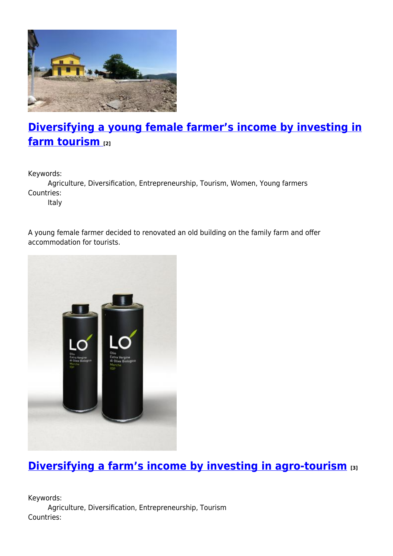

# **[Diversifying a young female farmer's income by investing in](https://enrd.ec.europa.eu/projects-practice/diversifying-young-female-farmers-income-investing-farm-tourism_en) [farm tourism](https://enrd.ec.europa.eu/projects-practice/diversifying-young-female-farmers-income-investing-farm-tourism_en) [2]**

Keywords:

Agriculture, Diversification, Entrepreneurship, Tourism, Women, Young farmers Countries:

Italy

A young female farmer decided to renovated an old building on the family farm and offer accommodation for tourists.



# **[Diversifying a farm's income by investing in agro-tourism](https://enrd.ec.europa.eu/projects-practice/diversifying-farms-income-investing-agro-tourism_en) [3]**

Keywords: Agriculture, Diversification, Entrepreneurship, Tourism Countries: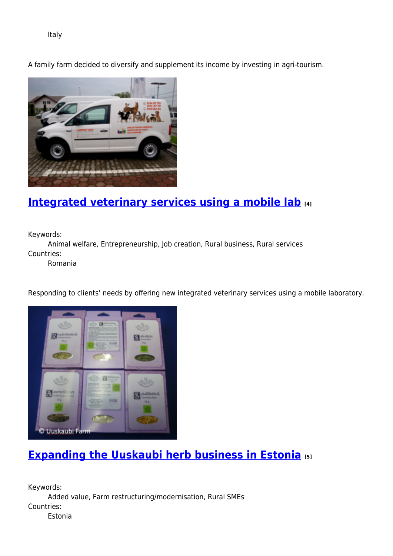Italy

A family farm decided to diversify and supplement its income by investing in agri-tourism.



## **[Integrated veterinary services using a mobile lab](https://enrd.ec.europa.eu/projects-practice/integrated-veterinary-services-using-mobile-lab_en) [4]**

Keywords:

Animal welfare, Entrepreneurship, Job creation, Rural business, Rural services Countries:

Romania

Responding to clients' needs by offering new integrated veterinary services using a mobile laboratory.



### **[Expanding the Uuskaubi herb business in Estonia](https://enrd.ec.europa.eu/projects-practice/expanding-uuskaubi-herb-business-estonia_en) [5]**

Keywords: Added value, Farm restructuring/modernisation, Rural SMEs Countries: Estonia